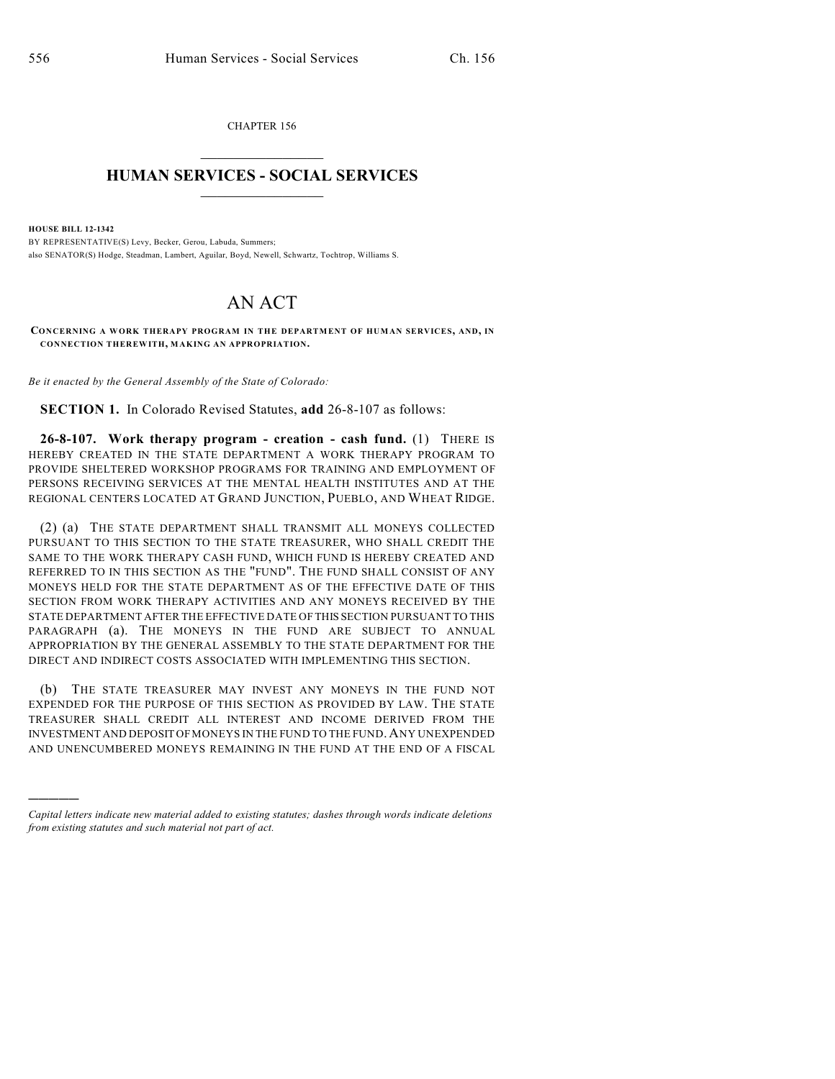CHAPTER 156  $\mathcal{L}_\text{max}$  . The set of the set of the set of the set of the set of the set of the set of the set of the set of the set of the set of the set of the set of the set of the set of the set of the set of the set of the set

## **HUMAN SERVICES - SOCIAL SERVICES**  $\frac{1}{2}$  ,  $\frac{1}{2}$  ,  $\frac{1}{2}$  ,  $\frac{1}{2}$  ,  $\frac{1}{2}$  ,  $\frac{1}{2}$

**HOUSE BILL 12-1342**

)))))

BY REPRESENTATIVE(S) Levy, Becker, Gerou, Labuda, Summers; also SENATOR(S) Hodge, Steadman, Lambert, Aguilar, Boyd, Newell, Schwartz, Tochtrop, Williams S.

## AN ACT

**CONCERNING A WORK THERAPY PROGRAM IN THE DEPARTMENT OF HUMAN SERVICES, AND, IN CONNECTION THEREWITH, MAKING AN APPROPRIATION.**

*Be it enacted by the General Assembly of the State of Colorado:*

**SECTION 1.** In Colorado Revised Statutes, **add** 26-8-107 as follows:

**26-8-107. Work therapy program - creation - cash fund.** (1) THERE IS HEREBY CREATED IN THE STATE DEPARTMENT A WORK THERAPY PROGRAM TO PROVIDE SHELTERED WORKSHOP PROGRAMS FOR TRAINING AND EMPLOYMENT OF PERSONS RECEIVING SERVICES AT THE MENTAL HEALTH INSTITUTES AND AT THE REGIONAL CENTERS LOCATED AT GRAND JUNCTION, PUEBLO, AND WHEAT RIDGE.

(2) (a) THE STATE DEPARTMENT SHALL TRANSMIT ALL MONEYS COLLECTED PURSUANT TO THIS SECTION TO THE STATE TREASURER, WHO SHALL CREDIT THE SAME TO THE WORK THERAPY CASH FUND, WHICH FUND IS HEREBY CREATED AND REFERRED TO IN THIS SECTION AS THE "FUND". THE FUND SHALL CONSIST OF ANY MONEYS HELD FOR THE STATE DEPARTMENT AS OF THE EFFECTIVE DATE OF THIS SECTION FROM WORK THERAPY ACTIVITIES AND ANY MONEYS RECEIVED BY THE STATE DEPARTMENT AFTER THE EFFECTIVE DATE OF THIS SECTION PURSUANT TO THIS PARAGRAPH (a). THE MONEYS IN THE FUND ARE SUBJECT TO ANNUAL APPROPRIATION BY THE GENERAL ASSEMBLY TO THE STATE DEPARTMENT FOR THE DIRECT AND INDIRECT COSTS ASSOCIATED WITH IMPLEMENTING THIS SECTION.

(b) THE STATE TREASURER MAY INVEST ANY MONEYS IN THE FUND NOT EXPENDED FOR THE PURPOSE OF THIS SECTION AS PROVIDED BY LAW. THE STATE TREASURER SHALL CREDIT ALL INTEREST AND INCOME DERIVED FROM THE INVESTMENT AND DEPOSIT OFMONEYS IN THE FUND TO THE FUND.ANY UNEXPENDED AND UNENCUMBERED MONEYS REMAINING IN THE FUND AT THE END OF A FISCAL

*Capital letters indicate new material added to existing statutes; dashes through words indicate deletions from existing statutes and such material not part of act.*